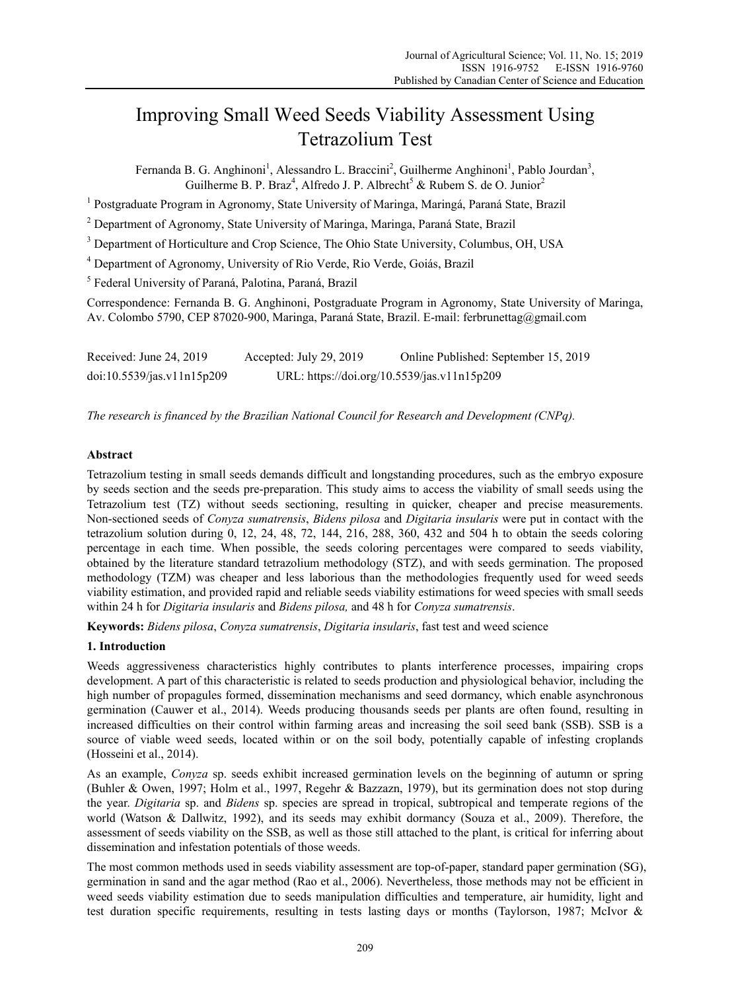# Improving Small Weed Seeds Viability Assessment Using Tetrazolium Test

Fernanda B. G. Anghinoni<sup>1</sup>, Alessandro L. Braccini<sup>2</sup>, Guilherme Anghinoni<sup>1</sup>, Pablo Jourdan<sup>3</sup>, Guilherme B. P. Braz<sup>4</sup>, Alfredo J. P. Albrecht<sup>5</sup> & Rubem S. de O. Junior<sup>2</sup>

<sup>1</sup> Postgraduate Program in Agronomy, State University of Maringa, Maringá, Paraná State, Brazil

<sup>2</sup> Department of Agronomy, State University of Maringa, Maringa, Paraná State, Brazil

<sup>3</sup> Department of Horticulture and Crop Science, The Ohio State University, Columbus, OH, USA

4 Department of Agronomy, University of Rio Verde, Rio Verde, Goiás, Brazil

5 Federal University of Paraná, Palotina, Paraná, Brazil

Correspondence: Fernanda B. G. Anghinoni, Postgraduate Program in Agronomy, State University of Maringa, Av. Colombo 5790, CEP 87020-900, Maringa, Paraná State, Brazil. E-mail: ferbrunettag@gmail.com

| Received: June 24, 2019    | Accepted: July 29, 2019                     | Online Published: September 15, 2019 |
|----------------------------|---------------------------------------------|--------------------------------------|
| doi:10.5539/jas.v11n15p209 | URL: https://doi.org/10.5539/jas.v11n15p209 |                                      |

*The research is financed by the Brazilian National Council for Research and Development (CNPq).*

# **Abstract**

Tetrazolium testing in small seeds demands difficult and longstanding procedures, such as the embryo exposure by seeds section and the seeds pre-preparation. This study aims to access the viability of small seeds using the Tetrazolium test (TZ) without seeds sectioning, resulting in quicker, cheaper and precise measurements. Non-sectioned seeds of *Conyza sumatrensis*, *Bidens pilosa* and *Digitaria insularis* were put in contact with the tetrazolium solution during 0, 12, 24, 48, 72, 144, 216, 288, 360, 432 and 504 h to obtain the seeds coloring percentage in each time. When possible, the seeds coloring percentages were compared to seeds viability, obtained by the literature standard tetrazolium methodology (STZ), and with seeds germination. The proposed methodology (TZM) was cheaper and less laborious than the methodologies frequently used for weed seeds viability estimation, and provided rapid and reliable seeds viability estimations for weed species with small seeds within 24 h for *Digitaria insularis* and *Bidens pilosa,* and 48 h for *Conyza sumatrensis*.

**Keywords:** *Bidens pilosa*, *Conyza sumatrensis*, *Digitaria insularis*, fast test and weed science

# **1. Introduction**

Weeds aggressiveness characteristics highly contributes to plants interference processes, impairing crops development. A part of this characteristic is related to seeds production and physiological behavior, including the high number of propagules formed, dissemination mechanisms and seed dormancy, which enable asynchronous germination (Cauwer et al., 2014). Weeds producing thousands seeds per plants are often found, resulting in increased difficulties on their control within farming areas and increasing the soil seed bank (SSB). SSB is a source of viable weed seeds, located within or on the soil body, potentially capable of infesting croplands (Hosseini et al., 2014).

As an example, *Conyza* sp. seeds exhibit increased germination levels on the beginning of autumn or spring (Buhler & Owen, 1997; Holm et al., 1997, Regehr & Bazzazn, 1979), but its germination does not stop during the year. *Digitaria* sp. and *Bidens* sp. species are spread in tropical, subtropical and temperate regions of the world (Watson & Dallwitz, 1992), and its seeds may exhibit dormancy (Souza et al., 2009). Therefore, the assessment of seeds viability on the SSB, as well as those still attached to the plant, is critical for inferring about dissemination and infestation potentials of those weeds.

The most common methods used in seeds viability assessment are top-of-paper, standard paper germination (SG), germination in sand and the agar method (Rao et al., 2006). Nevertheless, those methods may not be efficient in weed seeds viability estimation due to seeds manipulation difficulties and temperature, air humidity, light and test duration specific requirements, resulting in tests lasting days or months (Taylorson, 1987; McIvor &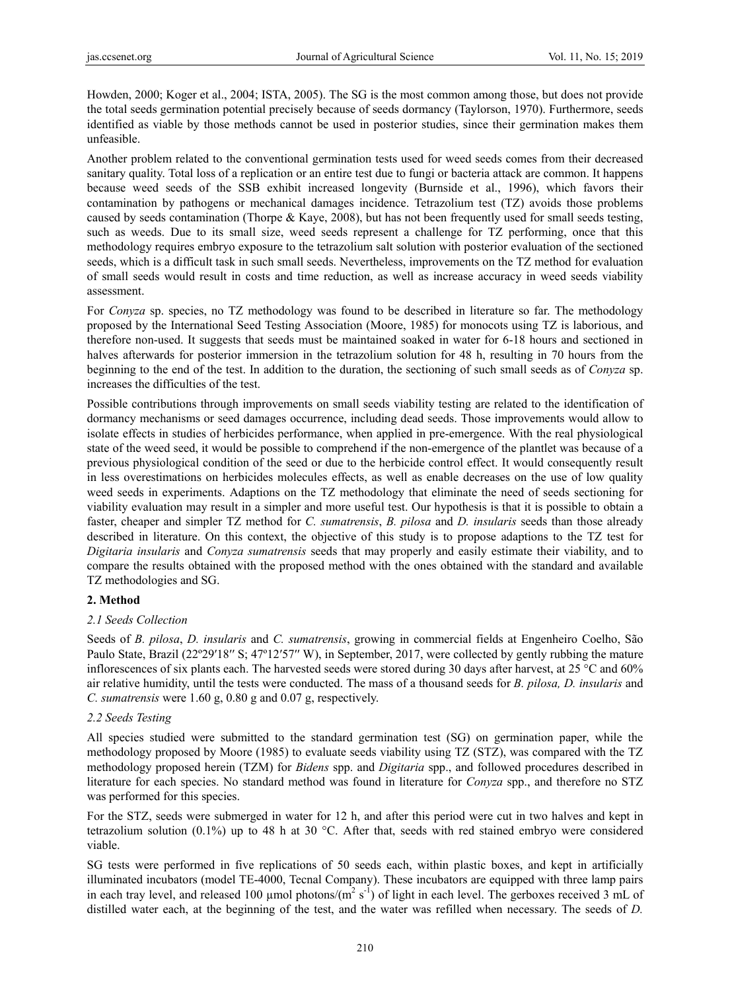Howden, 2000; Koger et al., 2004; ISTA, 2005). The SG is the most common among those, but does not provide the total seeds germination potential precisely because of seeds dormancy (Taylorson, 1970). Furthermore, seeds identified as viable by those methods cannot be used in posterior studies, since their germination makes them unfeasible.

Another problem related to the conventional germination tests used for weed seeds comes from their decreased sanitary quality. Total loss of a replication or an entire test due to fungi or bacteria attack are common. It happens because weed seeds of the SSB exhibit increased longevity (Burnside et al., 1996), which favors their contamination by pathogens or mechanical damages incidence. Tetrazolium test (TZ) avoids those problems caused by seeds contamination (Thorpe & Kaye, 2008), but has not been frequently used for small seeds testing, such as weeds. Due to its small size, weed seeds represent a challenge for TZ performing, once that this methodology requires embryo exposure to the tetrazolium salt solution with posterior evaluation of the sectioned seeds, which is a difficult task in such small seeds. Nevertheless, improvements on the TZ method for evaluation of small seeds would result in costs and time reduction, as well as increase accuracy in weed seeds viability assessment.

For *Conyza* sp. species, no TZ methodology was found to be described in literature so far. The methodology proposed by the International Seed Testing Association (Moore, 1985) for monocots using TZ is laborious, and therefore non-used. It suggests that seeds must be maintained soaked in water for 6-18 hours and sectioned in halves afterwards for posterior immersion in the tetrazolium solution for 48 h, resulting in 70 hours from the beginning to the end of the test. In addition to the duration, the sectioning of such small seeds as of *Conyza* sp. increases the difficulties of the test.

Possible contributions through improvements on small seeds viability testing are related to the identification of dormancy mechanisms or seed damages occurrence, including dead seeds. Those improvements would allow to isolate effects in studies of herbicides performance, when applied in pre-emergence. With the real physiological state of the weed seed, it would be possible to comprehend if the non-emergence of the plantlet was because of a previous physiological condition of the seed or due to the herbicide control effect. It would consequently result in less overestimations on herbicides molecules effects, as well as enable decreases on the use of low quality weed seeds in experiments. Adaptions on the TZ methodology that eliminate the need of seeds sectioning for viability evaluation may result in a simpler and more useful test. Our hypothesis is that it is possible to obtain a faster, cheaper and simpler TZ method for *C. sumatrensis*, *B. pilosa* and *D. insularis* seeds than those already described in literature. On this context, the objective of this study is to propose adaptions to the TZ test for *Digitaria insularis* and *Conyza sumatrensis* seeds that may properly and easily estimate their viability, and to compare the results obtained with the proposed method with the ones obtained with the standard and available TZ methodologies and SG.

## **2. Method**

# *2.1 Seeds Collection*

Seeds of *B. pilosa*, *D. insularis* and *C. sumatrensis*, growing in commercial fields at Engenheiro Coelho, São Paulo State, Brazil (22º29′18′′ S; 47º12′57′′ W), in September, 2017, were collected by gently rubbing the mature inflorescences of six plants each. The harvested seeds were stored during 30 days after harvest, at 25 °C and 60% air relative humidity, until the tests were conducted. The mass of a thousand seeds for *B. pilosa, D. insularis* and *C. sumatrensis* were 1.60 g, 0.80 g and 0.07 g, respectively.

## *2.2 Seeds Testing*

All species studied were submitted to the standard germination test (SG) on germination paper, while the methodology proposed by Moore (1985) to evaluate seeds viability using TZ (STZ), was compared with the TZ methodology proposed herein (TZM) for *Bidens* spp. and *Digitaria* spp., and followed procedures described in literature for each species. No standard method was found in literature for *Conyza* spp., and therefore no STZ was performed for this species.

For the STZ, seeds were submerged in water for 12 h, and after this period were cut in two halves and kept in tetrazolium solution (0.1%) up to 48 h at 30 °C. After that, seeds with red stained embryo were considered viable.

SG tests were performed in five replications of 50 seeds each, within plastic boxes, and kept in artificially illuminated incubators (model TE-4000, Tecnal Company). These incubators are equipped with three lamp pairs in each tray level, and released 100 µmol photons/ $(m^2 s^{-1})$  of light in each level. The gerboxes received 3 mL of distilled water each, at the beginning of the test, and the water was refilled when necessary. The seeds of *D*.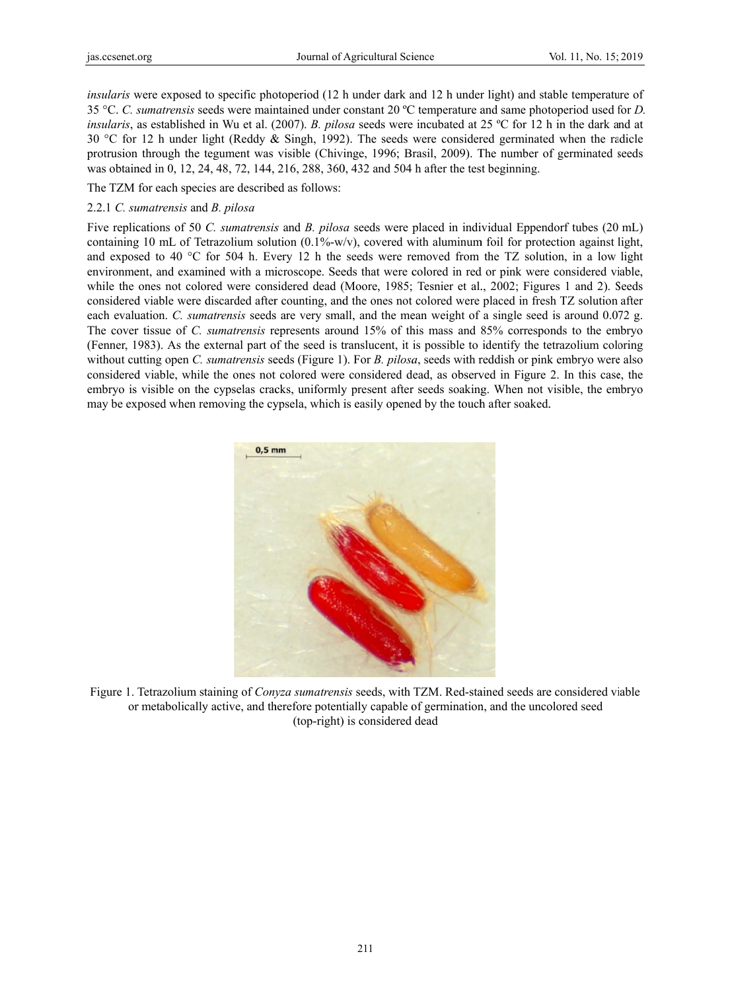*insularis* were exposed to specific photoperiod (12 h under dark and 12 h under light) and stable temperature of 35 °C. C. sumatrensis seeds were maintained under constant 20 °C temperature and same photoperiod used for D. *insularis*, as established in Wu et al. (2007). *B. pilosa* seeds were incubated at 25 °C for 12 h in the dark and at 30 °C for 12 h under light (Reddy & Singh, 1992). The seeds were considered germinated when the radicle protrusion through the tegument was visible (Chivinge, 1996; Brasil, 2009). The number of germinated seeds was obtained in 0, 12, 24, 48, 72, 144, 216, 288, 360, 432 and 504 h after the test beginning.

The TZM for each species are described as follows:

### 2.2.1 C. sumatrensis and B. pilosa

Five replications of 50 C. sumatrensis and B. pilosa seeds were placed in individual Eppendorf tubes (20 mL) containing 10 mL of Tetrazolium solution  $(0.1\% - w/v)$ , covered with aluminum foil for protection against light, and exposed to 40 °C for 504 h. Every 12 h the seeds were removed from the TZ solution, in a low light environment, and examined with a microscope. Seeds that were colored in red or pink were considered viable, while the ones not colored were considered dead (Moore, 1985; Tesnier et al., 2002; Figures 1 and 2). Seeds considered viable were discarded after counting, and the ones not colored were placed in fresh TZ solution after each evaluation. C. sumatrensis seeds are very small, and the mean weight of a single seed is around 0.072 g. The cover tissue of C. *sumatrensis* represents around 15% of this mass and 85% corresponds to the embryo (Fenner, 1983). As the external part of the seed is translucent, it is possible to identify the tetrazolium coloring without cutting open C. sumatrensis seeds (Figure 1). For B. pilosa, seeds with reddish or pink embryo were also considered viable, while the ones not colored were considered dead, as observed in Figure 2. In this case, the embryo is visible on the cypselas cracks, uniformly present after seeds soaking. When not visible, the embryo may be exposed when removing the cypsela, which is easily opened by the touch after soaked.



Figure 1. Tetrazolium staining of Conyza sumatrensis seeds, with TZM. Red-stained seeds are considered viable or metabolically active, and therefore potentially capable of germination, and the uncolored seed (top-right) is considered dead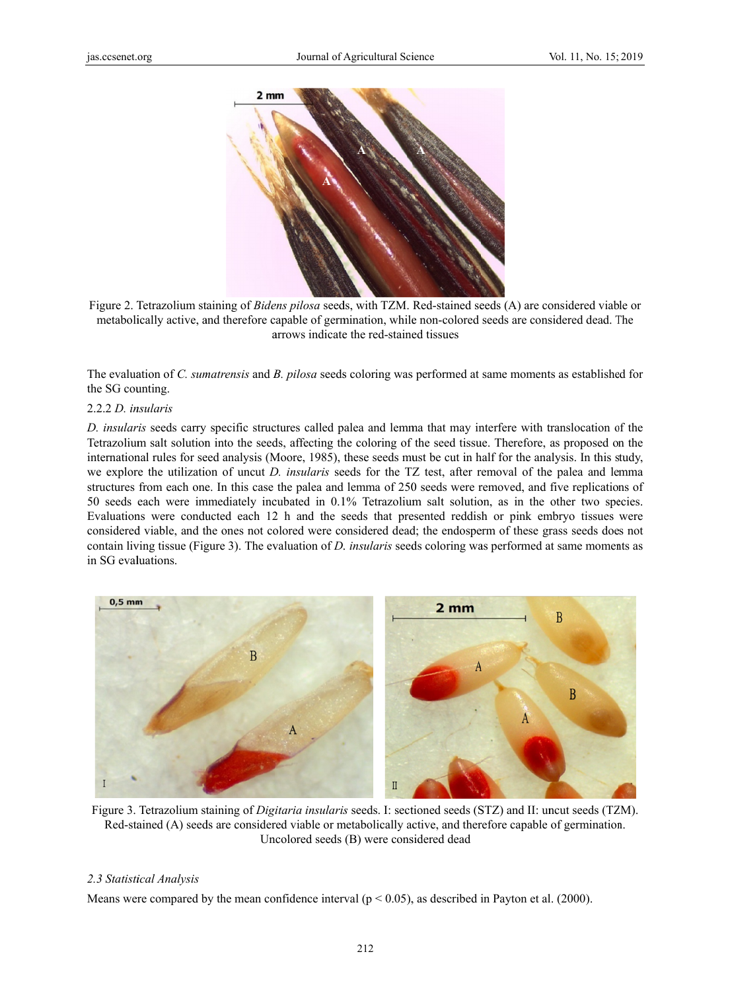

Figure 2. Tetrazolium staining of Bidens pilosa seeds, with TZM. Red-stained seeds (A) are considered viable or metabolically active, and therefore capable of germination, while non-colored seeds are considered dead. The arrows indicate the red-stained tissues

The evaluation of C. sumatrensis and B. pilosa seeds coloring was performed at same moments as established for the SG counting.

#### 2.2.2 D. insularis

D. insularis seeds carry specific structures called palea and lemma that may interfere with translocation of the Tetrazolium salt solution into the seeds, affecting the coloring of the seed tissue. Therefore, as proposed on the international rules for seed analysis (Moore, 1985), these seeds must be cut in half for the analysis. In this study, we explore the utilization of uncut *D. insularis* seeds for the TZ test, after removal of the palea and lemma structures from each one. In this case the palea and lemma of 250 seeds were removed, and five replications of 50 seeds each were immediately incubated in 0.1% Tetrazolium salt solution, as in the other two species. Evaluations were conducted each 12 h and the seeds that presented reddish or pink embryo tissues were considered viable, and the ones not colored were considered dead; the endosperm of these grass seeds does not contain living tissue (Figure 3). The evaluation of *D. insularis* seeds coloring was performed at same moments as in SG evaluations.



Figure 3. Tetrazolium staining of Digitaria insularis seeds. I: sectioned seeds (STZ) and II: uncut seeds (TZM). Red-stained (A) seeds are considered viable or metabolically active, and therefore capable of germination. Uncolored seeds (B) were considered dead

## 2.3 Statistical Analysis

Means were compared by the mean confidence interval ( $p < 0.05$ ), as described in Payton et al. (2000).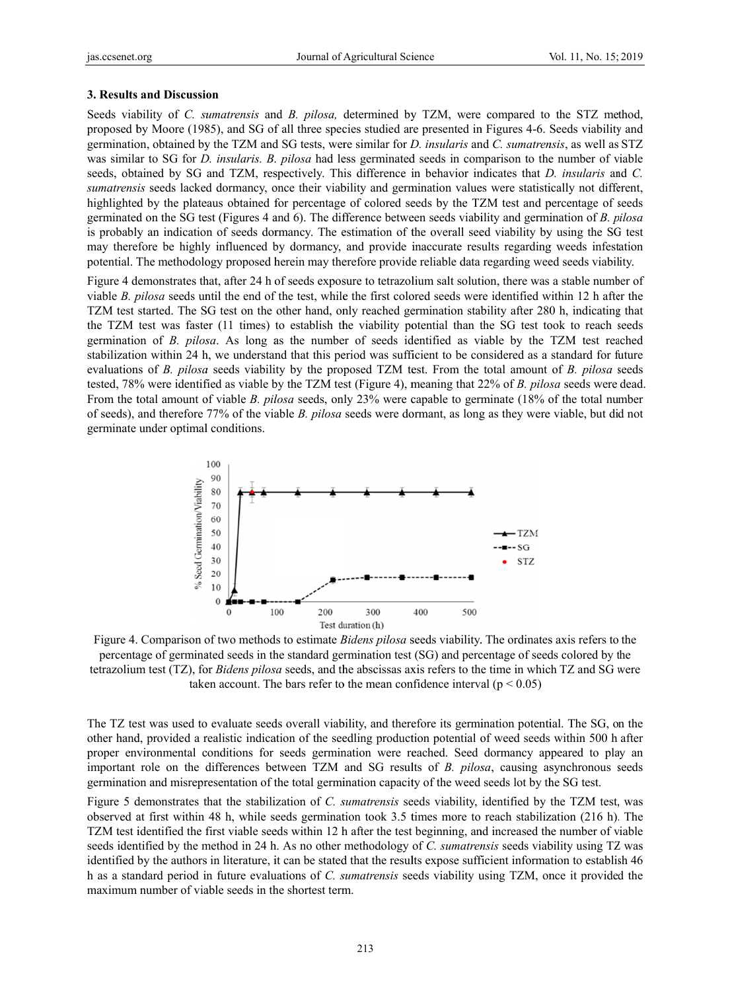#### **3. Results and Discussion**

Seeds viability of *C. sumatrensis* and *B. pilosa*, determined by TZM, were compared to the STZ method, proposed by Moore (1985), and SG of all three species studied are presented in Figures 4-6. Seeds viability and germination, obtained by the TZM and SG tests, were similar for *D. insularis* and *C. sumatrensis*, as well as STZ was similar to SG for *D. insularis. B. pilosa* had less germinated seeds in comparison to the number of viable seeds, obtained by SG and TZM, respectively. This difference in behavior indicates that *D. insularis* and *C.* sumatrensis seeds lacked dormancy, once their viability and germination values were statistically not different, highlighted by the plateaus obtained for percentage of colored seeds by the TZM test and percentage of seeds germinated on the SG test (Figures 4 and 6). The difference between seeds viability and germination of *B. pilosa* is probably an indication of seeds dormancy. The estimation of the overall seed viability by using the SG test may therefore be highly influenced by dormancy, and provide inaccurate results regarding weeds infestation potential. The methodology proposed herein may therefore provide reliable data regarding weed seeds viability.

Figure 4 demonstrates that, after 24 h of seeds exposure to tetrazolium salt solution, there was a stable number of viable *B*. pilosa seeds until the end of the test, while the first colored seeds were identified within 12 h after the TZM test started. The SG test on the other hand, only reached germination stability after 280 h, indicating that the TZM test was faster (11 times) to establish the viability potential than the SG test took to reach seeds germination of *B. pilosa*. As long as the number of seeds identified as viable by the TZM test reached stabilization within 24 h, we understand that this period was sufficient to be considered as a standard for future evaluations of *B. pilosa* seeds viability by the proposed TZM test. From the total amount of *B. pilosa* seeds tested, 78% were identified as viable by the TZM test (Figure 4), meaning that 22% of *B. pilosa* seeds were dead. From the total amount of viable *B. pilosa* seeds, only 23% were capable to germinate (18% of the total number of seeds), and therefore 77% of the viable *B. pilosa* seeds were dormant, as long as they were viable, but did not germinate under optimal l conditions.



Figure 4. Comparison of two methods to estimate *Bidens pilosa* seeds viability. The ordinates axis refers to the percentage of germinated seeds in the standard germination test (SG) and percentage of seeds colored by the tetrazolium test (TZ), for *Bidens pilosa* seeds, and the abscissas axis refers to the time in which TZ and SG were taken account. The bars refer to the mean confidence interval ( $p < 0.05$ )

The TZ test was used to evaluate seeds overall viability, and therefore its germination potential. The SG, on the other hand, provided a realistic indication of the seedling production potential of weed seeds within 500 h after proper environmental conditions for seeds germination were reached. Seed dormancy appeared to play an important role on the differences between TZM and SG results of *B. pilosa*, causing asynchronous seeds germination and misrepresentation of the total germination capacity of the weed seeds lot by the SG test.

Figure 5 demonstrates that the stabilization of *C. sumatrensis* seeds viability, identified by the TZM test, was observed at first within 48 h, while seeds germination took 3.5 times more to reach stabilization (216 h). The TZM test identified the first viable seeds within 12 h after the test beginning, and increased the number of viable seeds identified by the method in 24 h. As no other methodology of *C. sumatrensis* seeds viability using TZ was identified by the authors in literature, it can be stated that the results expose sufficient information to establish 46 h as a standard period in future evaluations of *C. sumatrensis* seeds viability using TZM, once it provided the maximum number of viable seeds in the shortest term.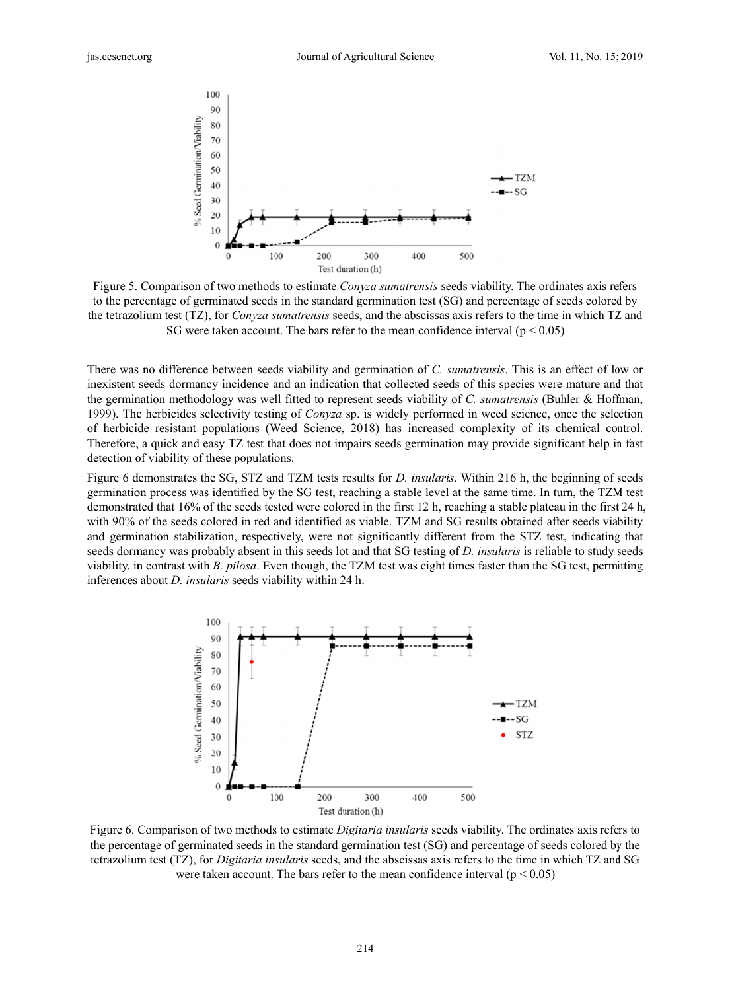

Figure 5. Comparison of two methods to estimate *Conyza sumatrensis* seeds viability. The ordinates axis refers to the percentage of germinated seeds in the standard germination test (SG) and percentage of seeds colored by the tetrazolium test (TZ), for *Conyza sumatrensis* seeds, and the abscissas axis refers to the time in which TZ and SG were taken account. The bars refer to the mean confidence interval ( $p < 0.05$ )

There was no difference between seeds viability and germination of *C. sumatrensis*. This is an effect of low or inexistent seeds dormancy incidence and an indication that collected seeds of this species were mature and that the germination methodology was well fitted to represent seeds viability of *C. sumatrensis* (Buhler & Hoffman, 1999). The herbicides selectivity testing of *Conyza* sp. is widely performed in weed science, once the selection of herbicide resistant populations (Weed Science, 2018) has increased complexity of its chemical control. Therefore, a quick and easy TZ test that does not impairs seeds germination may provide significant help in fast detection of viability of these populations.

Figure 6 demonstrates the SG, STZ and TZM tests results for *D. insularis*. Within 216 h, the beginning of seeds germination process was identified by the SG test, reaching a stable level at the same time. In turn, the TZM test demonstrated that 16% of the seeds tested were colored in the first 12 h, reaching a stable plateau in the first 24 h, with 90% of the seeds colored in red and identified as viable. TZM and SG results obtained after seeds viability and germination stabilization, respectively, were not significantly different from the STZ test, indicating that seeds dormancy was probably absent in this seeds lot and that SG testing of *D. insularis* is reliable to study seeds viability, in contrast with *B. pilosa*. Even though, the TZM test was eight times faster than the SG test, permitting inferences about *D. insularis* seeds viability within 24 h.



Figure 6. Comparison of two methods to estimate *Digitaria insularis* seeds viability. The ordinates axis refers to the percentage of germinated seeds in the standard germination test (SG) and percentage of seeds colored by the tetrazolium test (TZ), for *Digitaria insularis* seeds, and the abscissas axis refers to the time in which TZ and SG were taken account. The bars refer to the mean confidence interval ( $p < 0.05$ )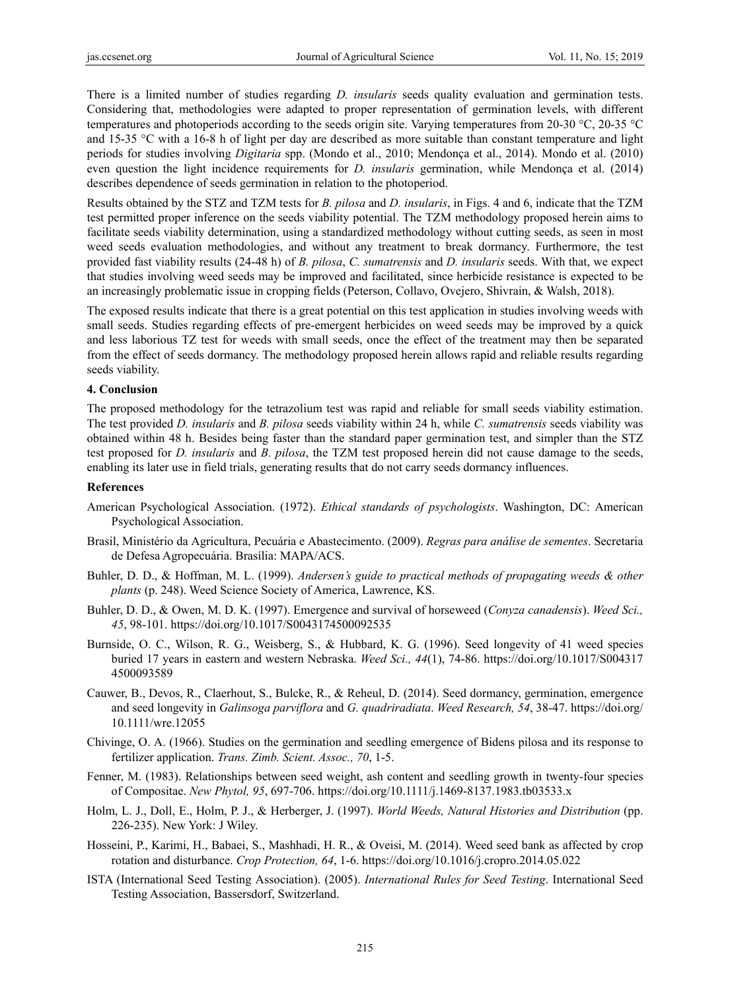There is a limited number of studies regarding *D. insularis* seeds quality evaluation and germination tests. Considering that, methodologies were adapted to proper representation of germination levels, with different temperatures and photoperiods according to the seeds origin site. Varying temperatures from 20-30 °C, 20-35 °C and 15-35 °C with a 16-8 h of light per day are described as more suitable than constant temperature and light periods for studies involving *Digitaria* spp. (Mondo et al., 2010; Mendonça et al., 2014). Mondo et al. (2010) even question the light incidence requirements for *D. insularis* germination, while Mendonça et al. (2014) describes dependence of seeds germination in relation to the photoperiod.

Results obtained by the STZ and TZM tests for *B. pilosa* and *D. insularis*, in Figs. 4 and 6, indicate that the TZM test permitted proper inference on the seeds viability potential. The TZM methodology proposed herein aims to facilitate seeds viability determination, using a standardized methodology without cutting seeds, as seen in most weed seeds evaluation methodologies, and without any treatment to break dormancy. Furthermore, the test provided fast viability results (24-48 h) of *B. pilosa*, *C. sumatrensis* and *D. insularis* seeds. With that, we expect that studies involving weed seeds may be improved and facilitated, since herbicide resistance is expected to be an increasingly problematic issue in cropping fields (Peterson, Collavo, Ovejero, Shivrain, & Walsh, 2018).

The exposed results indicate that there is a great potential on this test application in studies involving weeds with small seeds. Studies regarding effects of pre-emergent herbicides on weed seeds may be improved by a quick and less laborious TZ test for weeds with small seeds, once the effect of the treatment may then be separated from the effect of seeds dormancy. The methodology proposed herein allows rapid and reliable results regarding seeds viability.

#### **4. Conclusion**

The proposed methodology for the tetrazolium test was rapid and reliable for small seeds viability estimation. The test provided *D. insularis* and *B. pilosa* seeds viability within 24 h, while *C. sumatrensis* seeds viability was obtained within 48 h. Besides being faster than the standard paper germination test, and simpler than the STZ test proposed for *D. insularis* and *B. pilosa*, the TZM test proposed herein did not cause damage to the seeds, enabling its later use in field trials, generating results that do not carry seeds dormancy influences.

#### **References**

- American Psychological Association. (1972). *Ethical standards of psychologists*. Washington, DC: American Psychological Association.
- Brasil, Ministério da Agricultura, Pecuária e Abastecimento. (2009). *Regras para análise de sementes*. Secretaria de Defesa Agropecuária. Brasília: MAPA/ACS.
- Buhler, D. D., & Hoffman, M. L. (1999). *Andersen's guide to practical methods of propagating weeds & other plants* (p. 248). Weed Science Society of America, Lawrence, KS.
- Buhler, D. D., & Owen, M. D. K. (1997). Emergence and survival of horseweed (*Conyza canadensis*). *Weed Sci., 45*, 98-101. https://doi.org/10.1017/S0043174500092535
- Burnside, O. C., Wilson, R. G., Weisberg, S., & Hubbard, K. G. (1996). Seed longevity of 41 weed species buried 17 years in eastern and western Nebraska. *Weed Sci., 44*(1), 74-86. https://doi.org/10.1017/S004317 4500093589
- Cauwer, B., Devos, R., Claerhout, S., Bulcke, R., & Reheul, D. (2014). Seed dormancy, germination, emergence and seed longevity in *Galinsoga parviflora* and *G. quadriradiata*. *Weed Research, 54*, 38-47. https://doi.org/ 10.1111/wre.12055
- Chivinge, O. A. (1966). Studies on the germination and seedling emergence of Bidens pilosa and its response to fertilizer application. *Trans. Zimb. Scient. Assoc., 70*, 1-5.
- Fenner, M. (1983). Relationships between seed weight, ash content and seedling growth in twenty-four species of Compositae. *New Phytol, 95*, 697-706. https://doi.org/10.1111/j.1469-8137.1983.tb03533.x
- Holm, L. J., Doll, E., Holm, P. J., & Herberger, J. (1997). *World Weeds, Natural Histories and Distribution* (pp. 226-235). New York: J Wiley.
- Hosseini, P., Karimi, H., Babaei, S., Mashhadi, H. R., & Oveisi, M. (2014). Weed seed bank as affected by crop rotation and disturbance. *Crop Protection, 64*, 1-6. https://doi.org/10.1016/j.cropro.2014.05.022
- ISTA (International Seed Testing Association). (2005). *International Rules for Seed Testing*. International Seed Testing Association, Bassersdorf, Switzerland.